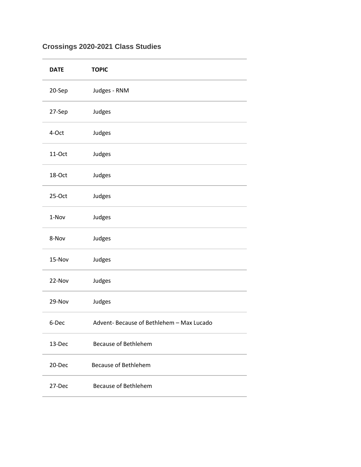## **Crossings 2020-2021 Class Studies**

| <b>DATE</b> | <b>TOPIC</b>                             |
|-------------|------------------------------------------|
| 20-Sep      | Judges - RNM                             |
| 27-Sep      | Judges                                   |
| 4-Oct       | Judges                                   |
| 11-Oct      | Judges                                   |
| 18-Oct      | Judges                                   |
| 25-Oct      | Judges                                   |
| 1-Nov       | Judges                                   |
| 8-Nov       | Judges                                   |
| 15-Nov      | Judges                                   |
| 22-Nov      | Judges                                   |
| 29-Nov      | Judges                                   |
| 6-Dec       | Advent-Because of Bethlehem - Max Lucado |
| 13-Dec      | <b>Because of Bethlehem</b>              |
| 20-Dec      | <b>Because of Bethlehem</b>              |
| 27-Dec      | <b>Because of Bethlehem</b>              |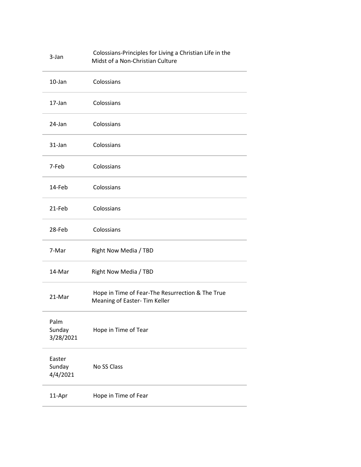| 3-Jan                        | Colossians-Principles for Living a Christian Life in the<br>Midst of a Non-Christian Culture |
|------------------------------|----------------------------------------------------------------------------------------------|
| 10-Jan                       | Colossians                                                                                   |
| 17-Jan                       | Colossians                                                                                   |
| 24-Jan                       | Colossians                                                                                   |
| 31-Jan                       | Colossians                                                                                   |
| 7-Feb                        | Colossians                                                                                   |
| 14-Feb                       | Colossians                                                                                   |
| 21-Feb                       | Colossians                                                                                   |
| 28-Feb                       | Colossians                                                                                   |
| 7-Mar                        | Right Now Media / TBD                                                                        |
| 14-Mar                       | Right Now Media / TBD                                                                        |
| 21-Mar                       | Hope in Time of Fear-The Resurrection & The True<br>Meaning of Easter- Tim Keller            |
| Palm<br>Sunday<br>3/28/2021  | Hope in Time of Tear                                                                         |
| Easter<br>Sunday<br>4/4/2021 | No SS Class                                                                                  |
| 11-Apr                       | Hope in Time of Fear                                                                         |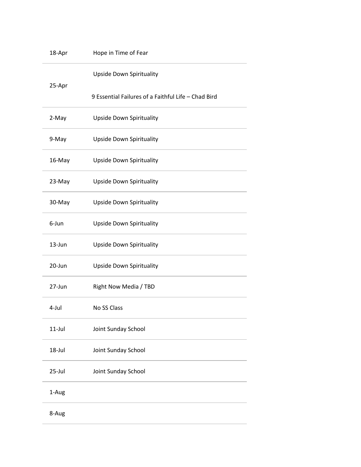| 18-Apr    | Hope in Time of Fear                                |  |
|-----------|-----------------------------------------------------|--|
| 25-Apr    | <b>Upside Down Spirituality</b>                     |  |
|           | 9 Essential Failures of a Faithful Life - Chad Bird |  |
| 2-May     | <b>Upside Down Spirituality</b>                     |  |
| 9-May     | <b>Upside Down Spirituality</b>                     |  |
| 16-May    | <b>Upside Down Spirituality</b>                     |  |
| 23-May    | <b>Upside Down Spirituality</b>                     |  |
| 30-May    | <b>Upside Down Spirituality</b>                     |  |
| 6-Jun     | <b>Upside Down Spirituality</b>                     |  |
| 13-Jun    | <b>Upside Down Spirituality</b>                     |  |
| 20-Jun    | <b>Upside Down Spirituality</b>                     |  |
| 27-Jun    | Right Now Media / TBD                               |  |
| 4-Jul     | No SS Class                                         |  |
| $11$ -Jul | Joint Sunday School                                 |  |
| 18-Jul    | Joint Sunday School                                 |  |
| 25-Jul    | Joint Sunday School                                 |  |
| 1-Aug     |                                                     |  |
| 8-Aug     |                                                     |  |